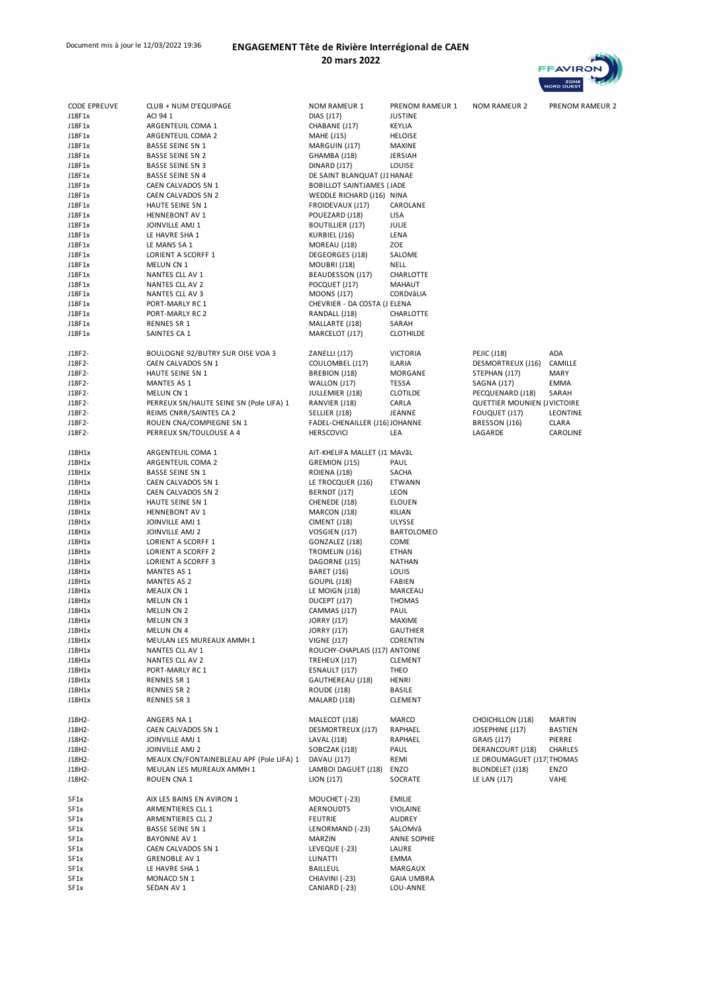## Document mis à jour le 12/03/2022 19:36 **ENGAGEMENT Tête de Rivière Interrégional de CAEN 20 mars 2022**



| <b>CODE EPREUVE</b> | CLUB + NUM D'EQUIPAGE                        | <b>NOM RAMEUR 1</b>                      | PRENOM RAMEUR 1          | <b>NOM RAMEUR 2</b>                    | PRENOM RAMEUR 2   |  |
|---------------------|----------------------------------------------|------------------------------------------|--------------------------|----------------------------------------|-------------------|--|
| J18F1x              | ACI 94 1                                     | DIAS (J17)                               | <b>JUSTINE</b>           |                                        |                   |  |
| J18F1x              | ARGENTEUIL COMA 1                            | CHABANE (J17)                            | KEYLIA                   |                                        |                   |  |
| J18F1x              | ARGENTEUIL COMA 2<br><b>BASSE SEINE SN 1</b> | <b>MAHE (J15)</b>                        | <b>HELOISE</b><br>MAXINE |                                        |                   |  |
| J18F1x<br>J18F1x    | <b>BASSE SEINE SN 2</b>                      | MARGUIN (J17)<br>GHAMBA (J18)            | <b>JERSIAH</b>           |                                        |                   |  |
| J18F1x              | <b>BASSE SEINE SN 3</b>                      | DINARD (J17)                             | LOUISE                   |                                        |                   |  |
| J18F1x              | <b>BASSE SEINE SN 4</b>                      | DE SAINT BLANQUAT (J1 HANAE              |                          |                                        |                   |  |
| J18F1x              | CAEN CALVADOS SN 1                           | <b>BOBILLOT SAINTJAMES (JADE</b>         |                          |                                        |                   |  |
| J18F1x              | CAEN CALVADOS SN 2                           | WEDDLE RICHARD (J16) NINA                |                          |                                        |                   |  |
| J18F1x              | HAUTE SEINE SN 1                             | FROIDEVAUX (J17)                         | CAROLANE                 |                                        |                   |  |
| J18F1x              | <b>HENNEBONT AV 1</b>                        | POUEZARD (J18)                           | LISA                     |                                        |                   |  |
| J18F1x              | JOINVILLE AMJ 1                              | <b>BOUTILLIER (J17)</b>                  | JULIE                    |                                        |                   |  |
| J18F1x              | LE HAVRE SHA 1                               | KURBIEL (J16)                            | LENA                     |                                        |                   |  |
| J18F1x<br>J18F1x    | LE MANS SA 1<br>LORIENT A SCORFF 1           | MOREAU (J18)<br>DEGEORGES (J18)          | ZOE<br>SALOME            |                                        |                   |  |
| J18F1x              | MELUN CN 1                                   | MOUBRI (J18)                             | NELL                     |                                        |                   |  |
| J18F1x              | NANTES CLL AV 1                              | BEAUDESSON (J17)                         | CHARLOTTE                |                                        |                   |  |
| J18F1x              | NANTES CLL AV 2                              | POCQUET (J17)                            | MAHAUT                   |                                        |                   |  |
| J18F1x              | NANTES CLL AV 3                              | <b>MOONS (J17)</b>                       | CORDVâLIA                |                                        |                   |  |
| J18F1x              | PORT-MARLY RC1                               | CHEVRIER - DA COSTA (J ELENA             |                          |                                        |                   |  |
| J18F1x              | PORT-MARLY RC 2                              | RANDALL (J18)                            | CHARLOTTE                |                                        |                   |  |
| J18F1x              | RENNES SR 1                                  | MALLARTE (J18)                           | SARAH                    |                                        |                   |  |
| J18F1x              | SAINTES CA 1                                 | MARCELOT (J17)                           | <b>CLOTHILDE</b>         |                                        |                   |  |
| J18F2-              | BOULOGNE 92/BUTRY SUR OISE VOA 3             | ZANELLI (J17)                            | <b>VICTORIA</b>          | <b>PEJIC (J18)</b>                     | ADA               |  |
| J18F2-              | CAEN CALVADOS SN 1                           | COULOMBEL (J17)                          | ILARIA                   | DESMORTREUX (J16)                      | CAMILLE           |  |
| J18F2-              | HAUTE SEINE SN 1                             | BREBION (J18)                            | MORGANE                  | STEPHAN (J17)                          | <b>MARY</b>       |  |
| J18F2-              | MANTES AS 1                                  | WALLON (J17)                             | TESSA                    | SAGNA (J17)                            | EMMA              |  |
| J18F2-              | MELUN CN 1                                   | JULLEMIER (J18)                          | CLOTILDE                 | PECQUENARD (J18)                       | SARAH             |  |
| J18F2-              | PERREUX SN/HAUTE SEINE SN (Pole LIFA) 1      | RANVIER (J18)                            | CARLA                    | QUETTIER MOUNIEN (JVICTOIRE            |                   |  |
| J18F2-              | REIMS CNRR/SAINTES CA 2                      | SELLIER (J18)                            | JEANNE                   | FOUQUET (J17)                          | LEONTINE          |  |
| J18F2-              | ROUEN CNA/COMPIEGNE SN 1                     | FADEL-CHENAILLER (J16) JOHANNE           |                          | BRESSON (J16)                          | CLARA             |  |
| J18F2-              | PERREUX SN/TOULOUSE A 4                      | <b>HERSCOVICI</b>                        | LEA                      | LAGARDE                                | CAROLINE          |  |
|                     |                                              |                                          |                          |                                        |                   |  |
| J18H1x              | ARGENTEUIL COMA 1                            | AIT-KHELIFA MALLET (J1 MAVÃL             |                          |                                        |                   |  |
| J18H1x<br>J18H1x    | ARGENTEUIL COMA 2<br><b>BASSE SEINE SN 1</b> | GREMION (J15)<br>ROIENA (J18)            | PAUL<br>SACHA            |                                        |                   |  |
| J18H1x              | CAEN CALVADOS SN 1                           | LE TROCQUER (J16)                        | ETWANN                   |                                        |                   |  |
| J18H1x              | CAEN CALVADOS SN 2                           | BERNDT (J17)                             | <b>LEON</b>              |                                        |                   |  |
| J18H1x              | HAUTE SEINE SN 1                             | CHENEDE (J18)                            | ELOUEN                   |                                        |                   |  |
| J18H1x              | <b>HENNEBONT AV 1</b>                        | MARCON (J18)                             | KILIAN                   |                                        |                   |  |
| J18H1x              | JOINVILLE AMJ 1                              | CIMENT (J18)                             | ULYSSE                   |                                        |                   |  |
| J18H1x              | JOINVILLE AMJ 2                              | VOSGIEN (J17)                            | BARTOLOMEO               |                                        |                   |  |
| J18H1x              | LORIENT A SCORFF 1                           | GONZALEZ (J18)                           | COME                     |                                        |                   |  |
| J18H1x              | LORIENT A SCORFF 2                           | TROMELIN (J16)                           | ETHAN                    |                                        |                   |  |
| J18H1x              | LORIENT A SCORFF 3                           | DAGORNE (J15)                            | NATHAN                   |                                        |                   |  |
| J18H1x              | MANTES AS 1                                  | BARET (J16)                              | LOUIS                    |                                        |                   |  |
| J18H1x              | <b>MANTES AS 2</b>                           | GOUPIL (J18)                             | FABIEN                   |                                        |                   |  |
| J18H1x              | MEAUX CN 1                                   | LE MOIGN (J18)                           | MARCEAU                  |                                        |                   |  |
| J18H1x              | MELUN CN 1                                   | DUCEPT (J17)                             | <b>THOMAS</b>            |                                        |                   |  |
| J18H1x              | MELUN CN 2                                   | CAMMAS (J17)                             | PAUL                     |                                        |                   |  |
| J18H1x              | MELUN CN 3                                   | <b>JORRY (J17)</b><br><b>JORRY (J17)</b> | MAXIME                   |                                        |                   |  |
| J18H1x<br>J18H1x    | MELUN CN 4<br>MEULAN LES MUREAUX AMMH 1      | <b>VIGNE (J17)</b>                       | GAUTHIER<br>CORENTIN     |                                        |                   |  |
| J18H1x              | NANTES CLL AV 1                              | ROUCHY-CHAPLAIS (J17) ANTOINE            |                          |                                        |                   |  |
| J18H1x              | NANTES CLL AV 2                              | TREHEUX (J17)                            | CLEMENT                  |                                        |                   |  |
| J18H1x              | PORT-MARLY RC1                               | ESNAULT (J17)                            | THEO                     |                                        |                   |  |
| J18H1x              | RENNES SR 1                                  | GAUTHEREAU (J18)                         | HENRI                    |                                        |                   |  |
| J18H1x              | <b>RENNES SR 2</b>                           | ROUDE (J18)                              | <b>BASILE</b>            |                                        |                   |  |
| J18H1x              | <b>RENNES SR 3</b>                           | MALARD (J18)                             | CLEMENT                  |                                        |                   |  |
|                     |                                              |                                          |                          |                                        |                   |  |
| J18H2-              | ANGERS NA 1                                  | MALECOT (J18)                            | MARCO                    | CHOICHILLON (J18)                      | <b>MARTIN</b>     |  |
| J18H2-              | CAEN CALVADOS SN 1                           | DESMORTREUX (J17)                        | RAPHAEL                  | JOSEPHINE (J17)                        | <b>BASTIEN</b>    |  |
| J18H2-<br>J18H2-    | JOINVILLE AMJ 1<br>JOINVILLE AMJ 2           | LAVAL (J18)<br>SOBCZAK (J18)             | RAPHAEL<br>PAUL          | <b>GRAIS (J17)</b><br>DERANCOURT (J18) | PIERRE<br>CHARLES |  |
| J18H2-              | MEAUX CN/FONTAINEBLEAU APF (Pole LIFA) 1     | DAVAU (J17)                              | REMI                     | LE DROUMAGUET (J17) THOMAS             |                   |  |
| J18H2-              | MEULAN LES MUREAUX AMMH 1                    | LAMBOI DAGUET (J18)                      | ENZO                     | <b>BLONDELET (J18)</b>                 | ENZO              |  |
| J18H2-              | ROUEN CNA 1                                  | LION (J17)                               | SOCRATE                  | LE LAN (J17)                           | VAHE              |  |
|                     |                                              |                                          |                          |                                        |                   |  |
| SF1x                | AIX LES BAINS EN AVIRON 1                    | MOUCHET (-23)                            | EMILIE                   |                                        |                   |  |
| SF1x                | ARMENTIERES CLL 1                            | AERNOUDTS                                | VIOLAINE                 |                                        |                   |  |
| SF1x                | ARMENTIERES CLL 2                            | <b>FEUTRIE</b>                           | AUDREY                   |                                        |                   |  |
| SF1x                | <b>BASSE SEINE SN 1</b>                      | LENORMAND (-23)                          | SALOMVâ                  |                                        |                   |  |
| SF1x                | <b>BAYONNE AV 1</b>                          | <b>MARZIN</b>                            | ANNE SOPHIE              |                                        |                   |  |
| SF1x                | CAEN CALVADOS SN 1                           | LEVEQUE (-23)                            | LAURE                    |                                        |                   |  |
| SF1x                | <b>GRENOBLE AV 1</b>                         | LUNATTI                                  | EMMA                     |                                        |                   |  |
| SF1x<br>SF1x        | LE HAVRE SHA 1<br>MONACO SN 1                | BAILLEUL<br>CHIAVINI (-23)               | MARGAUX<br>GAIA UMBRA    |                                        |                   |  |
| SF1x                | SEDAN AV 1                                   | CANIARD (-23)                            | LOU-ANNE                 |                                        |                   |  |
|                     |                                              |                                          |                          |                                        |                   |  |